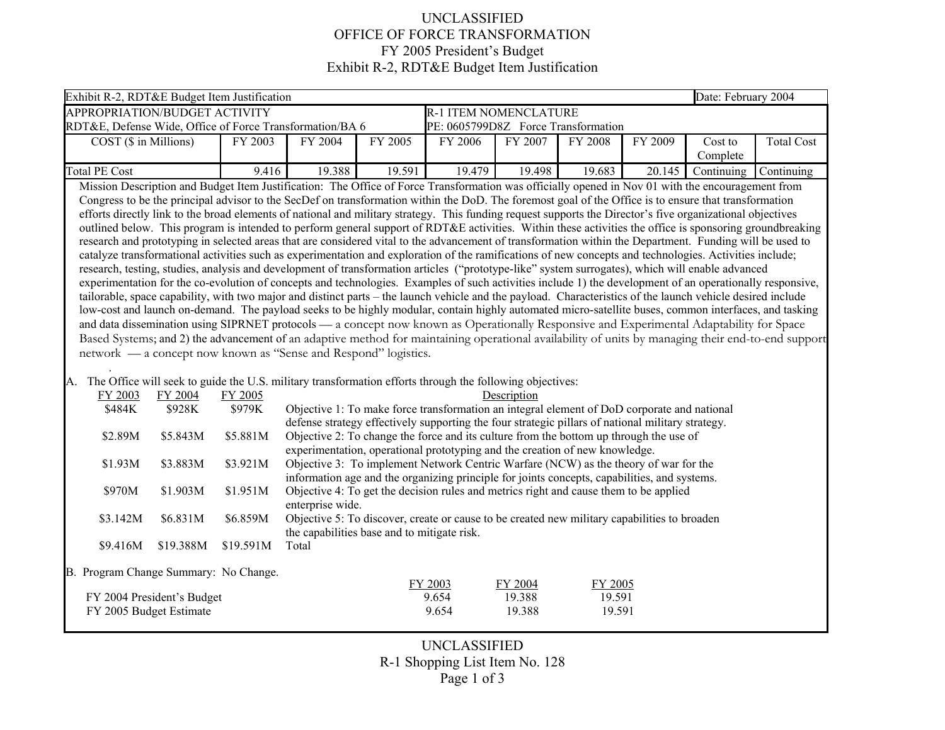## UNCLASSIFIED OFFICE OF FORCE TRANSFORMATION FY 2005 President's Budget Exhibit R-2, RDT&E Budget Item Justification

| Exhibit R-2, RDT&E Budget Item Justification                                                                                                                                                                                                                                                                                                                                                                                                                                                                                                                                                                                                                                                                                                                                                                                                                                                                                                                                                                                                                                                                                                                                                                                                                                                                                                                                                                                                                                                                                                                                                                                                                                                                                                                                                                                                                                                                                                                                                                                                                                                                                                                                                                                                                                                                                                                                                                                                                                                                                                                                                                                                                                                                                                                                                                                                                                                                                                                                                                                                                                                                                                        |                                     |         |         |         |         |         |         | Date: February 2004 |                   |
|-----------------------------------------------------------------------------------------------------------------------------------------------------------------------------------------------------------------------------------------------------------------------------------------------------------------------------------------------------------------------------------------------------------------------------------------------------------------------------------------------------------------------------------------------------------------------------------------------------------------------------------------------------------------------------------------------------------------------------------------------------------------------------------------------------------------------------------------------------------------------------------------------------------------------------------------------------------------------------------------------------------------------------------------------------------------------------------------------------------------------------------------------------------------------------------------------------------------------------------------------------------------------------------------------------------------------------------------------------------------------------------------------------------------------------------------------------------------------------------------------------------------------------------------------------------------------------------------------------------------------------------------------------------------------------------------------------------------------------------------------------------------------------------------------------------------------------------------------------------------------------------------------------------------------------------------------------------------------------------------------------------------------------------------------------------------------------------------------------------------------------------------------------------------------------------------------------------------------------------------------------------------------------------------------------------------------------------------------------------------------------------------------------------------------------------------------------------------------------------------------------------------------------------------------------------------------------------------------------------------------------------------------------------------------------------------------------------------------------------------------------------------------------------------------------------------------------------------------------------------------------------------------------------------------------------------------------------------------------------------------------------------------------------------------------------------------------------------------------------------------------------------------------|-------------------------------------|---------|---------|---------|---------|---------|---------|---------------------|-------------------|
| APPROPRIATION/BUDGET ACTIVITY<br><b>R-1 ITEM NOMENCLATURE</b>                                                                                                                                                                                                                                                                                                                                                                                                                                                                                                                                                                                                                                                                                                                                                                                                                                                                                                                                                                                                                                                                                                                                                                                                                                                                                                                                                                                                                                                                                                                                                                                                                                                                                                                                                                                                                                                                                                                                                                                                                                                                                                                                                                                                                                                                                                                                                                                                                                                                                                                                                                                                                                                                                                                                                                                                                                                                                                                                                                                                                                                                                       |                                     |         |         |         |         |         |         |                     |                   |
| RDT&E, Defense Wide, Office of Force Transformation/BA 6                                                                                                                                                                                                                                                                                                                                                                                                                                                                                                                                                                                                                                                                                                                                                                                                                                                                                                                                                                                                                                                                                                                                                                                                                                                                                                                                                                                                                                                                                                                                                                                                                                                                                                                                                                                                                                                                                                                                                                                                                                                                                                                                                                                                                                                                                                                                                                                                                                                                                                                                                                                                                                                                                                                                                                                                                                                                                                                                                                                                                                                                                            | PE: 0605799D8Z Force Transformation |         |         |         |         |         |         |                     |                   |
| $COST$ ( $\$$ in Millions)                                                                                                                                                                                                                                                                                                                                                                                                                                                                                                                                                                                                                                                                                                                                                                                                                                                                                                                                                                                                                                                                                                                                                                                                                                                                                                                                                                                                                                                                                                                                                                                                                                                                                                                                                                                                                                                                                                                                                                                                                                                                                                                                                                                                                                                                                                                                                                                                                                                                                                                                                                                                                                                                                                                                                                                                                                                                                                                                                                                                                                                                                                                          | FY 2003                             | FY 2004 | FY 2005 | FY 2006 | FY 2007 | FY 2008 | FY 2009 | Cost to<br>Complete | <b>Total Cost</b> |
| <b>Total PE Cost</b>                                                                                                                                                                                                                                                                                                                                                                                                                                                                                                                                                                                                                                                                                                                                                                                                                                                                                                                                                                                                                                                                                                                                                                                                                                                                                                                                                                                                                                                                                                                                                                                                                                                                                                                                                                                                                                                                                                                                                                                                                                                                                                                                                                                                                                                                                                                                                                                                                                                                                                                                                                                                                                                                                                                                                                                                                                                                                                                                                                                                                                                                                                                                | 9.416                               | 19.388  | 19.591  | 19.479  | 19.498  | 19.683  | 20.145  | Continuing          | Continuing        |
| Mission Description and Budget Item Justification: The Office of Force Transformation was officially opened in Nov 01 with the encouragement from<br>Congress to be the principal advisor to the SecDef on transformation within the DoD. The foremost goal of the Office is to ensure that transformation<br>efforts directly link to the broad elements of national and military strategy. This funding request supports the Director's five organizational objectives<br>outlined below. This program is intended to perform general support of RDT&E activities. Within these activities the office is sponsoring groundbreaking<br>research and prototyping in selected areas that are considered vital to the advancement of transformation within the Department. Funding will be used to<br>catalyze transformational activities such as experimentation and exploration of the ramifications of new concepts and technologies. Activities include;<br>research, testing, studies, analysis and development of transformation articles ("prototype-like" system surrogates), which will enable advanced<br>experimentation for the co-evolution of concepts and technologies. Examples of such activities include 1) the development of an operationally responsive,<br>tailorable, space capability, with two major and distinct parts - the launch vehicle and the payload. Characteristics of the launch vehicle desired include<br>low-cost and launch on-demand. The payload seeks to be highly modular, contain highly automated micro-satellite buses, common interfaces, and tasking<br>and data dissemination using SIPRNET protocols — a concept now known as Operationally Responsive and Experimental Adaptability for Space<br>Based Systems; and 2) the advancement of an adaptive method for maintaining operational availability of units by managing their end-to-end support<br>network — a concept now known as "Sense and Respond" logistics.<br>A. The Office will seek to guide the U.S. military transformation efforts through the following objectives:<br>FY 2003<br>FY 2004<br>FY 2005<br>Description<br>Objective 1: To make force transformation an integral element of DoD corporate and national<br>\$484K<br>\$928K<br>\$979K<br>defense strategy effectively supporting the four strategic pillars of national military strategy.<br>\$5.881M<br>Objective 2: To change the force and its culture from the bottom up through the use of<br>\$2.89M<br>\$5.843M<br>experimentation, operational prototyping and the creation of new knowledge.<br>Objective 3: To implement Network Centric Warfare (NCW) as the theory of war for the<br>\$1.93M<br>\$3.883M<br>\$3.921M<br>information age and the organizing principle for joints concepts, capabilities, and systems.<br>\$1.951M<br>Objective 4: To get the decision rules and metrics right and cause them to be applied<br>\$970M<br>\$1.903M<br>enterprise wide.<br>\$3.142M<br>\$6.831M<br>\$6.859M<br>Objective 5: To discover, create or cause to be created new military capabilities to broaden<br>the capabilities base and to mitigate risk. |                                     |         |         |         |         |         |         |                     |                   |
| B. Program Change Summary: No Change.                                                                                                                                                                                                                                                                                                                                                                                                                                                                                                                                                                                                                                                                                                                                                                                                                                                                                                                                                                                                                                                                                                                                                                                                                                                                                                                                                                                                                                                                                                                                                                                                                                                                                                                                                                                                                                                                                                                                                                                                                                                                                                                                                                                                                                                                                                                                                                                                                                                                                                                                                                                                                                                                                                                                                                                                                                                                                                                                                                                                                                                                                                               |                                     |         |         | FY 2003 | FY 2004 | FY 2005 |         |                     |                   |
| FY 2004 President's Budget                                                                                                                                                                                                                                                                                                                                                                                                                                                                                                                                                                                                                                                                                                                                                                                                                                                                                                                                                                                                                                                                                                                                                                                                                                                                                                                                                                                                                                                                                                                                                                                                                                                                                                                                                                                                                                                                                                                                                                                                                                                                                                                                                                                                                                                                                                                                                                                                                                                                                                                                                                                                                                                                                                                                                                                                                                                                                                                                                                                                                                                                                                                          |                                     |         |         | 9.654   | 19.388  | 19.591  |         |                     |                   |
| FY 2005 Budget Estimate                                                                                                                                                                                                                                                                                                                                                                                                                                                                                                                                                                                                                                                                                                                                                                                                                                                                                                                                                                                                                                                                                                                                                                                                                                                                                                                                                                                                                                                                                                                                                                                                                                                                                                                                                                                                                                                                                                                                                                                                                                                                                                                                                                                                                                                                                                                                                                                                                                                                                                                                                                                                                                                                                                                                                                                                                                                                                                                                                                                                                                                                                                                             |                                     |         |         | 9.654   | 19.388  | 19.591  |         |                     |                   |

UNCLASSIFIED R-1 Shopping List Item No. 128 Page 1 of 3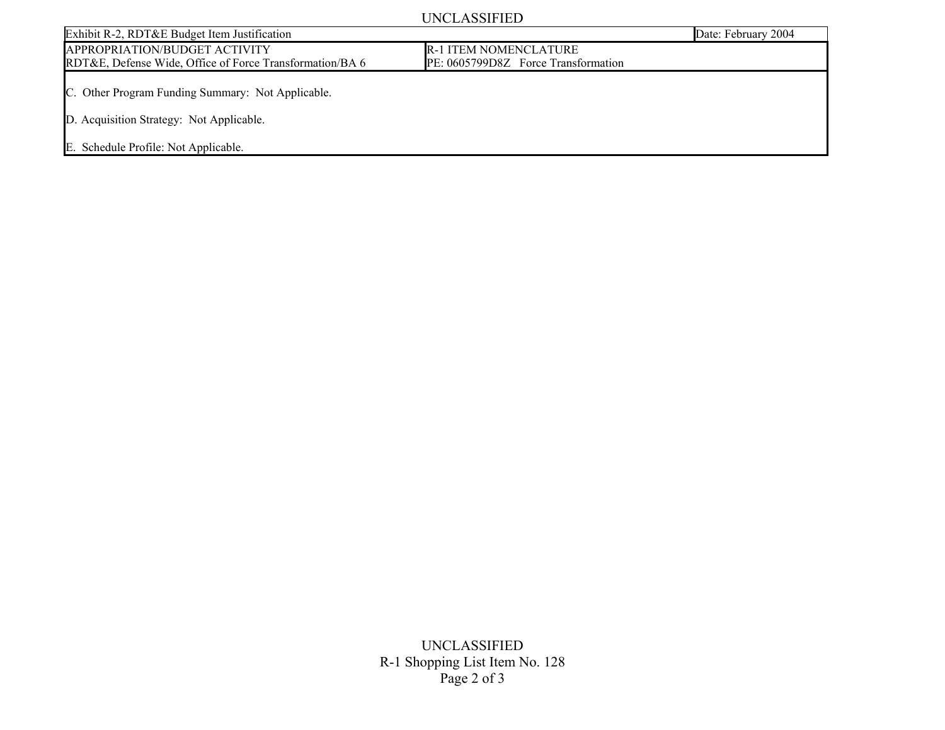## UNCLASSIFIED

|                                                                                                                                       | 0.1121110111122                     |                     |
|---------------------------------------------------------------------------------------------------------------------------------------|-------------------------------------|---------------------|
| Exhibit R-2, RDT&E Budget Item Justification                                                                                          |                                     | Date: February 2004 |
| APPROPRIATION/BUDGET ACTIVITY                                                                                                         | <b>R-1 ITEM NOMENCLATURE</b>        |                     |
| RDT&E, Defense Wide, Office of Force Transformation/BA 6                                                                              | PE: 0605799D8Z Force Transformation |                     |
| C. Other Program Funding Summary: Not Applicable.<br>D. Acquisition Strategy: Not Applicable.<br>E. Schedule Profile: Not Applicable. |                                     |                     |

UNCLASSIFIED R-1 Shopping List Item No. 128 Page 2 of 3